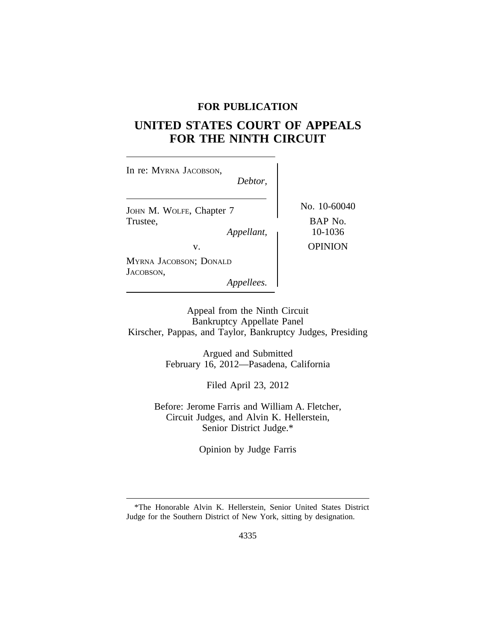## **FOR PUBLICATION**

# **UNITED STATES COURT OF APPEALS FOR THE NINTH CIRCUIT**

| In re: MYRNA JACOBSON,<br>Debtor,                  |                                    |
|----------------------------------------------------|------------------------------------|
| JOHN M. WOLFE, Chapter 7<br>Trustee,<br>Appellant, | No. 10-60040<br>BAP No.<br>10-1036 |
| V.                                                 | <b>OPINION</b>                     |
| MYRNA JACOBSON; DONALD<br>JACOBSON,<br>Appellees.  |                                    |

Appeal from the Ninth Circuit Bankruptcy Appellate Panel Kirscher, Pappas, and Taylor, Bankruptcy Judges, Presiding

> Argued and Submitted February 16, 2012—Pasadena, California

> > Filed April 23, 2012

Before: Jerome Farris and William A. Fletcher, Circuit Judges, and Alvin K. Hellerstein, Senior District Judge.\*

Opinion by Judge Farris

<sup>\*</sup>The Honorable Alvin K. Hellerstein, Senior United States District Judge for the Southern District of New York, sitting by designation.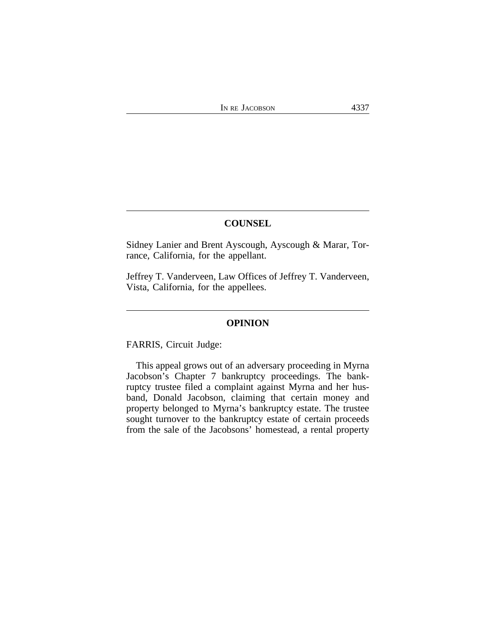## **COUNSEL**

Sidney Lanier and Brent Ayscough, Ayscough & Marar, Torrance, California, for the appellant.

Jeffrey T. Vanderveen, Law Offices of Jeffrey T. Vanderveen, Vista, California, for the appellees.

#### **OPINION**

FARRIS, Circuit Judge:

This appeal grows out of an adversary proceeding in Myrna Jacobson's Chapter 7 bankruptcy proceedings. The bankruptcy trustee filed a complaint against Myrna and her husband, Donald Jacobson, claiming that certain money and property belonged to Myrna's bankruptcy estate. The trustee sought turnover to the bankruptcy estate of certain proceeds from the sale of the Jacobsons' homestead, a rental property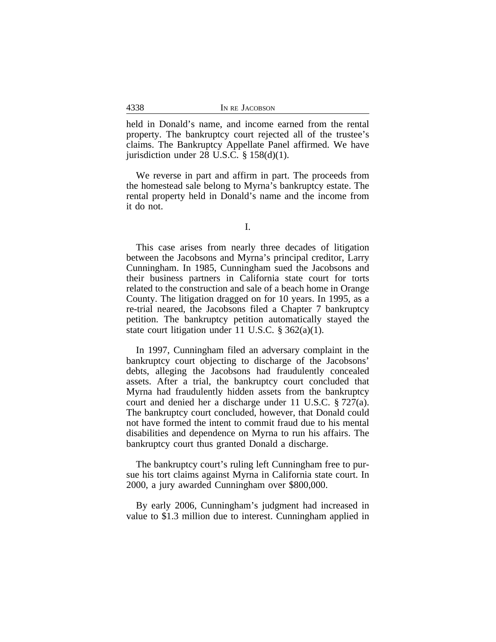held in Donald's name, and income earned from the rental property. The bankruptcy court rejected all of the trustee's claims. The Bankruptcy Appellate Panel affirmed. We have jurisdiction under 28 U.S.C.  $\S$  158(d)(1).

We reverse in part and affirm in part. The proceeds from the homestead sale belong to Myrna's bankruptcy estate. The rental property held in Donald's name and the income from it do not.

This case arises from nearly three decades of litigation between the Jacobsons and Myrna's principal creditor, Larry Cunningham. In 1985, Cunningham sued the Jacobsons and their business partners in California state court for torts related to the construction and sale of a beach home in Orange County. The litigation dragged on for 10 years. In 1995, as a re-trial neared, the Jacobsons filed a Chapter 7 bankruptcy petition. The bankruptcy petition automatically stayed the state court litigation under 11 U.S.C.  $\S 362(a)(1)$ .

In 1997, Cunningham filed an adversary complaint in the bankruptcy court objecting to discharge of the Jacobsons' debts, alleging the Jacobsons had fraudulently concealed assets. After a trial, the bankruptcy court concluded that Myrna had fraudulently hidden assets from the bankruptcy court and denied her a discharge under 11 U.S.C. § 727(a). The bankruptcy court concluded, however, that Donald could not have formed the intent to commit fraud due to his mental disabilities and dependence on Myrna to run his affairs. The bankruptcy court thus granted Donald a discharge.

The bankruptcy court's ruling left Cunningham free to pursue his tort claims against Myrna in California state court. In 2000, a jury awarded Cunningham over \$800,000.

By early 2006, Cunningham's judgment had increased in value to \$1.3 million due to interest. Cunningham applied in

4338

I.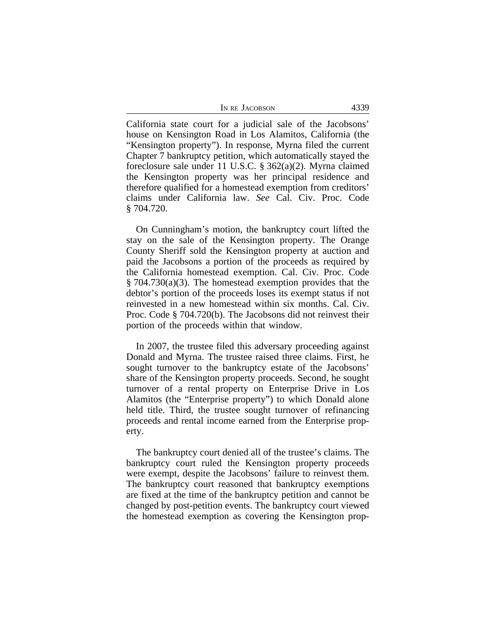| IN RE JACOBSON | 4339 |
|----------------|------|
|----------------|------|

California state court for a judicial sale of the Jacobsons' house on Kensington Road in Los Alamitos, California (the "Kensington property"). In response, Myrna filed the current Chapter 7 bankruptcy petition, which automatically stayed the foreclosure sale under 11 U.S.C. § 362(a)(2). Myrna claimed the Kensington property was her principal residence and therefore qualified for a homestead exemption from creditors' claims under California law. *See* Cal. Civ. Proc. Code § 704.720.

On Cunningham's motion, the bankruptcy court lifted the stay on the sale of the Kensington property. The Orange County Sheriff sold the Kensington property at auction and paid the Jacobsons a portion of the proceeds as required by the California homestead exemption. Cal. Civ. Proc. Code  $§ 704.730(a)(3)$ . The homestead exemption provides that the debtor's portion of the proceeds loses its exempt status if not reinvested in a new homestead within six months. Cal. Civ. Proc. Code § 704.720(b). The Jacobsons did not reinvest their portion of the proceeds within that window.

In 2007, the trustee filed this adversary proceeding against Donald and Myrna. The trustee raised three claims. First, he sought turnover to the bankruptcy estate of the Jacobsons' share of the Kensington property proceeds. Second, he sought turnover of a rental property on Enterprise Drive in Los Alamitos (the "Enterprise property") to which Donald alone held title. Third, the trustee sought turnover of refinancing proceeds and rental income earned from the Enterprise property.

The bankruptcy court denied all of the trustee's claims. The bankruptcy court ruled the Kensington property proceeds were exempt, despite the Jacobsons' failure to reinvest them. The bankruptcy court reasoned that bankruptcy exemptions are fixed at the time of the bankruptcy petition and cannot be changed by post-petition events. The bankruptcy court viewed the homestead exemption as covering the Kensington prop-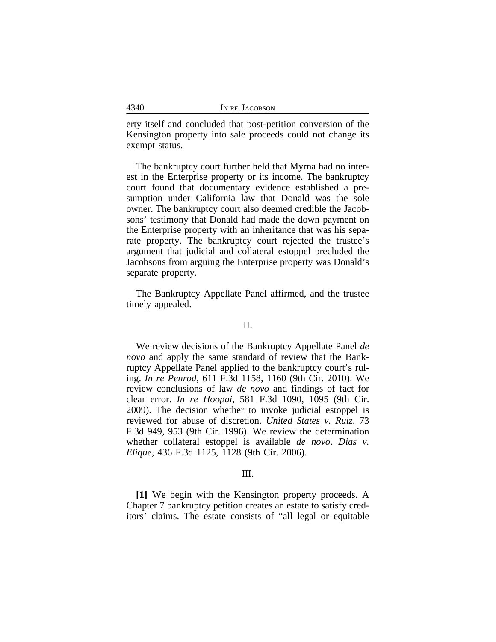| 4340 | IN RE JACOBSON |
|------|----------------|
|      |                |

erty itself and concluded that post-petition conversion of the Kensington property into sale proceeds could not change its exempt status.

The bankruptcy court further held that Myrna had no interest in the Enterprise property or its income. The bankruptcy court found that documentary evidence established a presumption under California law that Donald was the sole owner. The bankruptcy court also deemed credible the Jacobsons' testimony that Donald had made the down payment on the Enterprise property with an inheritance that was his separate property. The bankruptcy court rejected the trustee's argument that judicial and collateral estoppel precluded the Jacobsons from arguing the Enterprise property was Donald's separate property.

The Bankruptcy Appellate Panel affirmed, and the trustee timely appealed.

#### II.

We review decisions of the Bankruptcy Appellate Panel *de novo* and apply the same standard of review that the Bankruptcy Appellate Panel applied to the bankruptcy court's ruling. *In re Penrod*, 611 F.3d 1158, 1160 (9th Cir. 2010). We review conclusions of law *de novo* and findings of fact for clear error. *In re Hoopai*, 581 F.3d 1090, 1095 (9th Cir. 2009). The decision whether to invoke judicial estoppel is reviewed for abuse of discretion. *United States v. Ruiz*, 73 F.3d 949, 953 (9th Cir. 1996). We review the determination whether collateral estoppel is available *de novo*. *Dias v. Elique*, 436 F.3d 1125, 1128 (9th Cir. 2006).

### III.

**[1]** We begin with the Kensington property proceeds. A Chapter 7 bankruptcy petition creates an estate to satisfy creditors' claims. The estate consists of "all legal or equitable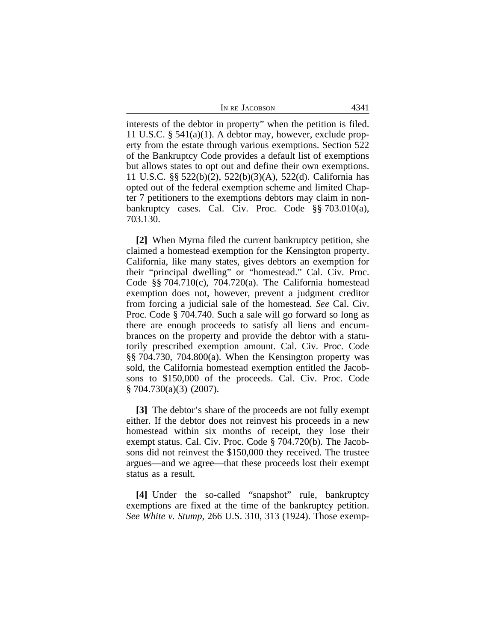| In re Jacobson | 4341 |
|----------------|------|
|----------------|------|

interests of the debtor in property" when the petition is filed. 11 U.S.C. § 541(a)(1). A debtor may, however, exclude property from the estate through various exemptions. Section 522 of the Bankruptcy Code provides a default list of exemptions but allows states to opt out and define their own exemptions. 11 U.S.C. §§ 522(b)(2), 522(b)(3)(A), 522(d). California has opted out of the federal exemption scheme and limited Chapter 7 petitioners to the exemptions debtors may claim in nonbankruptcy cases. Cal. Civ. Proc. Code §§ 703.010(a), 703.130.

**[2]** When Myrna filed the current bankruptcy petition, she claimed a homestead exemption for the Kensington property. California, like many states, gives debtors an exemption for their "principal dwelling" or "homestead." Cal. Civ. Proc. Code §§ 704.710(c), 704.720(a). The California homestead exemption does not, however, prevent a judgment creditor from forcing a judicial sale of the homestead. *See* Cal. Civ. Proc. Code § 704.740. Such a sale will go forward so long as there are enough proceeds to satisfy all liens and encumbrances on the property and provide the debtor with a statutorily prescribed exemption amount. Cal. Civ. Proc. Code §§ 704.730, 704.800(a). When the Kensington property was sold, the California homestead exemption entitled the Jacobsons to \$150,000 of the proceeds. Cal. Civ. Proc. Code § 704.730(a)(3) (2007).

**[3]** The debtor's share of the proceeds are not fully exempt either. If the debtor does not reinvest his proceeds in a new homestead within six months of receipt, they lose their exempt status. Cal. Civ. Proc. Code § 704.720(b). The Jacobsons did not reinvest the \$150,000 they received. The trustee argues—and we agree—that these proceeds lost their exempt status as a result.

**[4]** Under the so-called "snapshot" rule, bankruptcy exemptions are fixed at the time of the bankruptcy petition. *See White v. Stump*, 266 U.S. 310, 313 (1924). Those exemp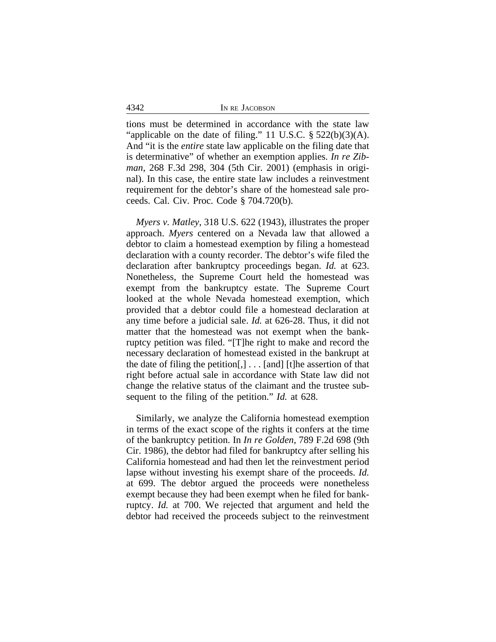4342 IN RE JACOBSON

tions must be determined in accordance with the state law "applicable on the date of filing." 11 U.S.C.  $\S$  522(b)(3)(A). And "it is the *entire* state law applicable on the filing date that is determinative" of whether an exemption applies. *In re Zibman*, 268 F.3d 298, 304 (5th Cir. 2001) (emphasis in original). In this case, the entire state law includes a reinvestment requirement for the debtor's share of the homestead sale proceeds. Cal. Civ. Proc. Code § 704.720(b).

*Myers v. Matley*, 318 U.S. 622 (1943), illustrates the proper approach. *Myers* centered on a Nevada law that allowed a debtor to claim a homestead exemption by filing a homestead declaration with a county recorder. The debtor's wife filed the declaration after bankruptcy proceedings began. *Id.* at 623. Nonetheless, the Supreme Court held the homestead was exempt from the bankruptcy estate. The Supreme Court looked at the whole Nevada homestead exemption, which provided that a debtor could file a homestead declaration at any time before a judicial sale. *Id.* at 626-28. Thus, it did not matter that the homestead was not exempt when the bankruptcy petition was filed. "[T]he right to make and record the necessary declaration of homestead existed in the bankrupt at the date of filing the petition $[,] \ldots [and]$  [t]he assertion of that right before actual sale in accordance with State law did not change the relative status of the claimant and the trustee subsequent to the filing of the petition." *Id.* at 628.

Similarly, we analyze the California homestead exemption in terms of the exact scope of the rights it confers at the time of the bankruptcy petition. In *In re Golden*, 789 F.2d 698 (9th Cir. 1986), the debtor had filed for bankruptcy after selling his California homestead and had then let the reinvestment period lapse without investing his exempt share of the proceeds. *Id.* at 699. The debtor argued the proceeds were nonetheless exempt because they had been exempt when he filed for bankruptcy. *Id.* at 700. We rejected that argument and held the debtor had received the proceeds subject to the reinvestment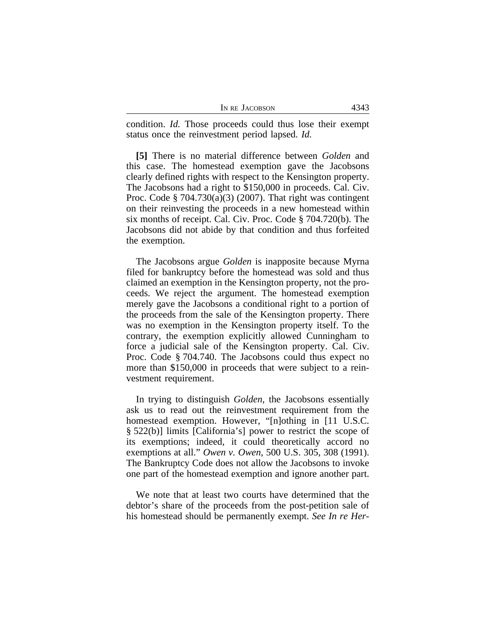| IN RE JACOBSON | 4343 |
|----------------|------|
|----------------|------|

condition. *Id.* Those proceeds could thus lose their exempt status once the reinvestment period lapsed. *Id.*

**[5]** There is no material difference between *Golden* and this case. The homestead exemption gave the Jacobsons clearly defined rights with respect to the Kensington property. The Jacobsons had a right to \$150,000 in proceeds. Cal. Civ. Proc. Code § 704.730(a)(3) (2007). That right was contingent on their reinvesting the proceeds in a new homestead within six months of receipt. Cal. Civ. Proc. Code § 704.720(b). The Jacobsons did not abide by that condition and thus forfeited the exemption.

The Jacobsons argue *Golden* is inapposite because Myrna filed for bankruptcy before the homestead was sold and thus claimed an exemption in the Kensington property, not the proceeds. We reject the argument. The homestead exemption merely gave the Jacobsons a conditional right to a portion of the proceeds from the sale of the Kensington property. There was no exemption in the Kensington property itself. To the contrary, the exemption explicitly allowed Cunningham to force a judicial sale of the Kensington property. Cal. Civ. Proc. Code § 704.740. The Jacobsons could thus expect no more than \$150,000 in proceeds that were subject to a reinvestment requirement.

In trying to distinguish *Golden*, the Jacobsons essentially ask us to read out the reinvestment requirement from the homestead exemption. However, "[n]othing in [11 U.S.C. § 522(b)] limits [California's] power to restrict the scope of its exemptions; indeed, it could theoretically accord no exemptions at all." *Owen v. Owen*, 500 U.S. 305, 308 (1991). The Bankruptcy Code does not allow the Jacobsons to invoke one part of the homestead exemption and ignore another part.

We note that at least two courts have determined that the debtor's share of the proceeds from the post-petition sale of his homestead should be permanently exempt. *See In re Her-*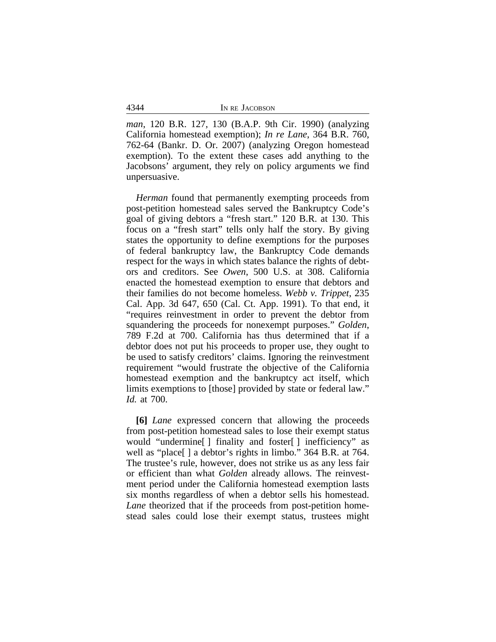|  | IN RE JACOBSON |
|--|----------------|

*man*, 120 B.R. 127, 130 (B.A.P. 9th Cir. 1990) (analyzing California homestead exemption); *In re Lane*, 364 B.R. 760, 762-64 (Bankr. D. Or. 2007) (analyzing Oregon homestead exemption). To the extent these cases add anything to the Jacobsons' argument, they rely on policy arguments we find unpersuasive.

*Herman* found that permanently exempting proceeds from post-petition homestead sales served the Bankruptcy Code's goal of giving debtors a "fresh start." 120 B.R. at 130. This focus on a "fresh start" tells only half the story. By giving states the opportunity to define exemptions for the purposes of federal bankruptcy law, the Bankruptcy Code demands respect for the ways in which states balance the rights of debtors and creditors. See *Owen*, 500 U.S. at 308. California enacted the homestead exemption to ensure that debtors and their families do not become homeless. *Webb v. Trippet*, 235 Cal. App. 3d 647, 650 (Cal. Ct. App. 1991). To that end, it "requires reinvestment in order to prevent the debtor from squandering the proceeds for nonexempt purposes." *Golden*, 789 F.2d at 700. California has thus determined that if a debtor does not put his proceeds to proper use, they ought to be used to satisfy creditors' claims. Ignoring the reinvestment requirement "would frustrate the objective of the California homestead exemption and the bankruptcy act itself, which limits exemptions to [those] provided by state or federal law." *Id.* at 700.

**[6]** *Lane* expressed concern that allowing the proceeds from post-petition homestead sales to lose their exempt status would "undermine[ ] finality and foster[ ] inefficiency" as well as "place[ ] a debtor's rights in limbo." 364 B.R. at 764. The trustee's rule, however, does not strike us as any less fair or efficient than what *Golden* already allows. The reinvestment period under the California homestead exemption lasts six months regardless of when a debtor sells his homestead. *Lane* theorized that if the proceeds from post-petition homestead sales could lose their exempt status, trustees might

4344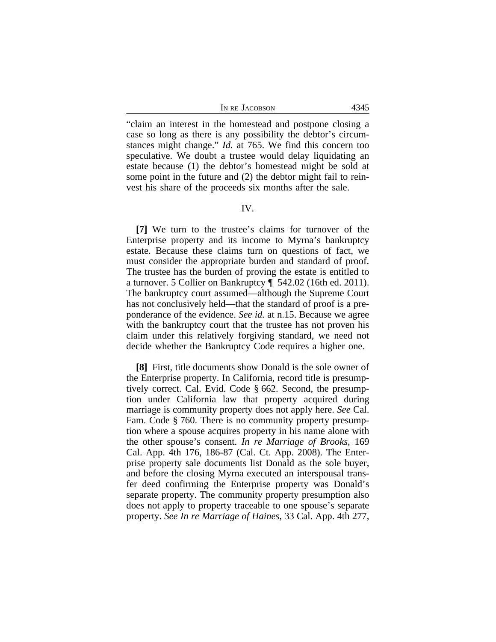"claim an interest in the homestead and postpone closing a case so long as there is any possibility the debtor's circumstances might change." *Id.* at 765. We find this concern too speculative. We doubt a trustee would delay liquidating an estate because (1) the debtor's homestead might be sold at some point in the future and (2) the debtor might fail to reinvest his share of the proceeds six months after the sale.

#### IV.

**[7]** We turn to the trustee's claims for turnover of the Enterprise property and its income to Myrna's bankruptcy estate. Because these claims turn on questions of fact, we must consider the appropriate burden and standard of proof. The trustee has the burden of proving the estate is entitled to a turnover. 5 Collier on Bankruptcy ¶ 542.02 (16th ed. 2011). The bankruptcy court assumed—although the Supreme Court has not conclusively held—that the standard of proof is a preponderance of the evidence. *See id.* at n.15. Because we agree with the bankruptcy court that the trustee has not proven his claim under this relatively forgiving standard, we need not decide whether the Bankruptcy Code requires a higher one.

**[8]** First, title documents show Donald is the sole owner of the Enterprise property. In California, record title is presumptively correct. Cal. Evid. Code § 662. Second, the presumption under California law that property acquired during marriage is community property does not apply here. *See* Cal. Fam. Code § 760. There is no community property presumption where a spouse acquires property in his name alone with the other spouse's consent. *In re Marriage of Brooks*, 169 Cal. App. 4th 176, 186-87 (Cal. Ct. App. 2008). The Enterprise property sale documents list Donald as the sole buyer, and before the closing Myrna executed an interspousal transfer deed confirming the Enterprise property was Donald's separate property. The community property presumption also does not apply to property traceable to one spouse's separate property. *See In re Marriage of Haines*, 33 Cal. App. 4th 277,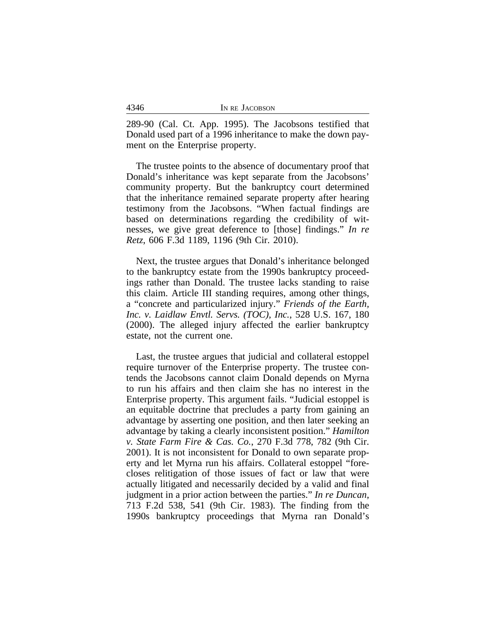| 4346 | IN RE JACOBSON |
|------|----------------|
|      |                |

289-90 (Cal. Ct. App. 1995). The Jacobsons testified that Donald used part of a 1996 inheritance to make the down payment on the Enterprise property.

The trustee points to the absence of documentary proof that Donald's inheritance was kept separate from the Jacobsons' community property. But the bankruptcy court determined that the inheritance remained separate property after hearing testimony from the Jacobsons. "When factual findings are based on determinations regarding the credibility of witnesses, we give great deference to [those] findings." *In re Retz*, 606 F.3d 1189, 1196 (9th Cir. 2010).

Next, the trustee argues that Donald's inheritance belonged to the bankruptcy estate from the 1990s bankruptcy proceedings rather than Donald. The trustee lacks standing to raise this claim. Article III standing requires, among other things, a "concrete and particularized injury." *Friends of the Earth, Inc. v. Laidlaw Envtl. Servs. (TOC), Inc.*, 528 U.S. 167, 180 (2000). The alleged injury affected the earlier bankruptcy estate, not the current one.

Last, the trustee argues that judicial and collateral estoppel require turnover of the Enterprise property. The trustee contends the Jacobsons cannot claim Donald depends on Myrna to run his affairs and then claim she has no interest in the Enterprise property. This argument fails. "Judicial estoppel is an equitable doctrine that precludes a party from gaining an advantage by asserting one position, and then later seeking an advantage by taking a clearly inconsistent position." *Hamilton v. State Farm Fire & Cas. Co.*, 270 F.3d 778, 782 (9th Cir. 2001). It is not inconsistent for Donald to own separate property and let Myrna run his affairs. Collateral estoppel "forecloses relitigation of those issues of fact or law that were actually litigated and necessarily decided by a valid and final judgment in a prior action between the parties." *In re Duncan*, 713 F.2d 538, 541 (9th Cir. 1983). The finding from the 1990s bankruptcy proceedings that Myrna ran Donald's